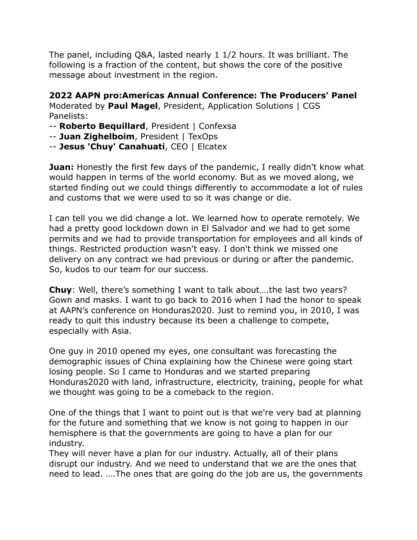The panel, including Q&A, lasted nearly 1 1/2 hours. It was brilliant. The following is a fraction of the content, but shows the core of the positive message about investment in the region.

**2022 AAPN pro:Americas Annual Conference: The Producers' Panel** Moderated by **Paul Magel**, President, Application Solutions | CGS Panelists:

- -- **Roberto Bequillard**, President | Confexsa
- -- **Juan Zighelboim**, President | TexOps
- -- **Jesus 'Chuy' Canahuati**, CEO | Elcatex

**Juan:** Honestly the first few days of the pandemic, I really didn't know what would happen in terms of the world economy. But as we moved along, we started finding out we could things differently to accommodate a lot of rules and customs that we were used to so it was change or die.

I can tell you we did change a lot. We learned how to operate remotely. We had a pretty good lockdown down in El Salvador and we had to get some permits and we had to provide transportation for employees and all kinds of things. Restricted production wasn't easy. I don't think we missed one delivery on any contract we had previous or during or after the pandemic. So, kudos to our team for our success.

**Chuy**: Well, there's something I want to talk about….the last two years? Gown and masks. I want to go back to 2016 when I had the honor to speak at AAPN's conference on Honduras2020. Just to remind you, in 2010, I was ready to quit this industry because its been a challenge to compete, especially with Asia.

One guy in 2010 opened my eyes, one consultant was forecasting the demographic issues of China explaining how the Chinese were going start losing people. So I came to Honduras and we started preparing Honduras2020 with land, infrastructure, electricity, training, people for what we thought was going to be a comeback to the region.

One of the things that I want to point out is that we're very bad at planning for the future and something that we know is not going to happen in our hemisphere is that the governments are going to have a plan for our industry.

They will never have a plan for our industry. Actually, all of their plans disrupt our industry. And we need to understand that we are the ones that need to lead. ….The ones that are going do the job are us, the governments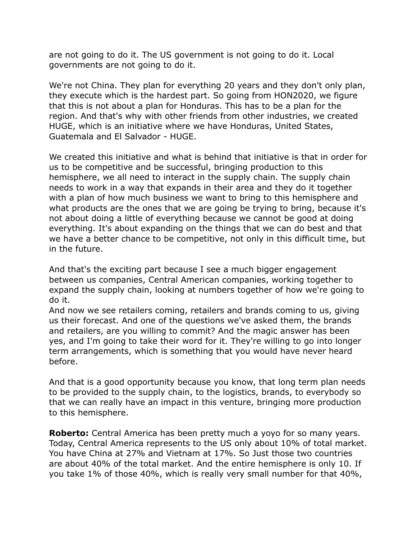are not going to do it. The US government is not going to do it. Local governments are not going to do it.

We're not China. They plan for everything 20 years and they don't only plan, they execute which is the hardest part. So going from HON2020, we figure that this is not about a plan for Honduras. This has to be a plan for the region. And that's why with other friends from other industries, we created HUGE, which is an initiative where we have Honduras, United States, Guatemala and El Salvador - HUGE.

We created this initiative and what is behind that initiative is that in order for us to be competitive and be successful, bringing production to this hemisphere, we all need to interact in the supply chain. The supply chain needs to work in a way that expands in their area and they do it together with a plan of how much business we want to bring to this hemisphere and what products are the ones that we are going be trying to bring, because it's not about doing a little of everything because we cannot be good at doing everything. It's about expanding on the things that we can do best and that we have a better chance to be competitive, not only in this difficult time, but in the future.

And that's the exciting part because I see a much bigger engagement between us companies, Central American companies, working together to expand the supply chain, looking at numbers together of how we're going to do it.

And now we see retailers coming, retailers and brands coming to us, giving us their forecast. And one of the questions we've asked them, the brands and retailers, are you willing to commit? And the magic answer has been yes, and I'm going to take their word for it. They're willing to go into longer term arrangements, which is something that you would have never heard before.

And that is a good opportunity because you know, that long term plan needs to be provided to the supply chain, to the logistics, brands, to everybody so that we can really have an impact in this venture, bringing more production to this hemisphere.

**Roberto:** Central America has been pretty much a yoyo for so many years. Today, Central America represents to the US only about 10% of total market. You have China at 27% and Vietnam at 17%. So Just those two countries are about 40% of the total market. And the entire hemisphere is only 10. If you take 1% of those 40%, which is really very small number for that 40%,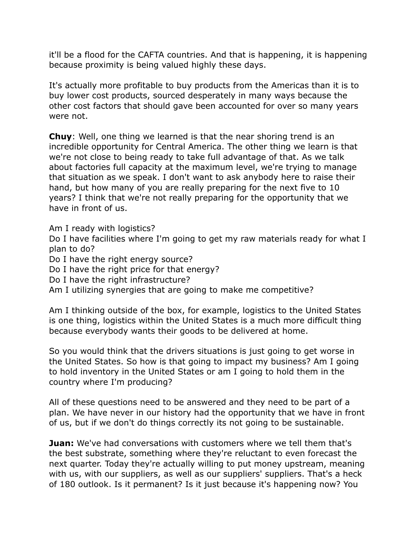it'll be a flood for the CAFTA countries. And that is happening, it is happening because proximity is being valued highly these days.

It's actually more profitable to buy products from the Americas than it is to buy lower cost products, sourced desperately in many ways because the other cost factors that should gave been accounted for over so many years were not.

**Chuy**: Well, one thing we learned is that the near shoring trend is an incredible opportunity for Central America. The other thing we learn is that we're not close to being ready to take full advantage of that. As we talk about factories full capacity at the maximum level, we're trying to manage that situation as we speak. I don't want to ask anybody here to raise their hand, but how many of you are really preparing for the next five to 10 years? I think that we're not really preparing for the opportunity that we have in front of us.

Am I ready with logistics?

Do I have facilities where I'm going to get my raw materials ready for what I plan to do?

Do I have the right energy source?

Do I have the right price for that energy?

Do I have the right infrastructure?

Am I utilizing synergies that are going to make me competitive?

Am I thinking outside of the box, for example, logistics to the United States is one thing, logistics within the United States is a much more difficult thing because everybody wants their goods to be delivered at home.

So you would think that the drivers situations is just going to get worse in the United States. So how is that going to impact my business? Am I going to hold inventory in the United States or am I going to hold them in the country where I'm producing?

All of these questions need to be answered and they need to be part of a plan. We have never in our history had the opportunity that we have in front of us, but if we don't do things correctly its not going to be sustainable.

**Juan:** We've had conversations with customers where we tell them that's the best substrate, something where they're reluctant to even forecast the next quarter. Today they're actually willing to put money upstream, meaning with us, with our suppliers, as well as our suppliers' suppliers. That's a heck of 180 outlook. Is it permanent? Is it just because it's happening now? You